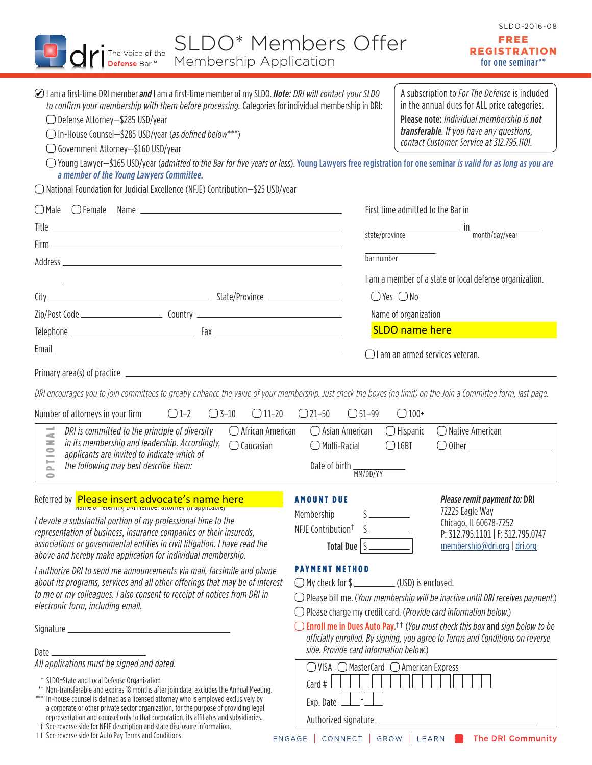| SLDO* Members Offer<br>The Voice of the<br>Membership Application<br><b>Defense Bar™</b>                                                                                                                                                                                                                                                                                                                                                                                                                                                                                                                                                                                                                                                                              |                                                                                                                                                                                                                               | SLDO-2016-08<br>FREE<br><b>REGISTRATION</b><br>for one seminar**                                               |  |
|-----------------------------------------------------------------------------------------------------------------------------------------------------------------------------------------------------------------------------------------------------------------------------------------------------------------------------------------------------------------------------------------------------------------------------------------------------------------------------------------------------------------------------------------------------------------------------------------------------------------------------------------------------------------------------------------------------------------------------------------------------------------------|-------------------------------------------------------------------------------------------------------------------------------------------------------------------------------------------------------------------------------|----------------------------------------------------------------------------------------------------------------|--|
| ⊘ I am a first-time DRI member and I am a first-time member of my SLDO. Note: DRI will contact your SLDO<br>A subscription to <i>For The Defense</i> is included<br>to confirm your membership with them before processing. Categories for individual membership in DRI:<br>in the annual dues for ALL price categories.<br>◯ Defense Attorney-\$285 USD/year<br>Please note: Individual membership is not<br>transferable. If you have any questions,<br>◯ In-House Counsel-\$285 USD/year (as defined below***)<br>contact Customer Service at 312.795.1101.<br>◯ Government Attorney-\$160 USD/year<br>○ Young Lawyer-\$165 USD/year (admitted to the Bar for five years or less). Young Lawyers free registration for one seminar is valid for as long as you are |                                                                                                                                                                                                                               |                                                                                                                |  |
| a member of the Young Lawyers Committee.<br>$\bigcirc$ National Foundation for Judicial Excellence (NFJE) Contribution-\$25 USD/year                                                                                                                                                                                                                                                                                                                                                                                                                                                                                                                                                                                                                                  |                                                                                                                                                                                                                               |                                                                                                                |  |
|                                                                                                                                                                                                                                                                                                                                                                                                                                                                                                                                                                                                                                                                                                                                                                       |                                                                                                                                                                                                                               | First time admitted to the Bar in                                                                              |  |
|                                                                                                                                                                                                                                                                                                                                                                                                                                                                                                                                                                                                                                                                                                                                                                       |                                                                                                                                                                                                                               | in <sub>month/day/year</sub><br>state/province                                                                 |  |
| bar number                                                                                                                                                                                                                                                                                                                                                                                                                                                                                                                                                                                                                                                                                                                                                            |                                                                                                                                                                                                                               |                                                                                                                |  |
|                                                                                                                                                                                                                                                                                                                                                                                                                                                                                                                                                                                                                                                                                                                                                                       |                                                                                                                                                                                                                               | I am a member of a state or local defense organization.                                                        |  |
|                                                                                                                                                                                                                                                                                                                                                                                                                                                                                                                                                                                                                                                                                                                                                                       |                                                                                                                                                                                                                               | $\bigcirc$ Yes $\bigcirc$ No                                                                                   |  |
|                                                                                                                                                                                                                                                                                                                                                                                                                                                                                                                                                                                                                                                                                                                                                                       |                                                                                                                                                                                                                               | Name of organization                                                                                           |  |
|                                                                                                                                                                                                                                                                                                                                                                                                                                                                                                                                                                                                                                                                                                                                                                       |                                                                                                                                                                                                                               | <b>SLDO</b> name here                                                                                          |  |
|                                                                                                                                                                                                                                                                                                                                                                                                                                                                                                                                                                                                                                                                                                                                                                       |                                                                                                                                                                                                                               | $\bigcirc$ I am an armed services veteran.                                                                     |  |
|                                                                                                                                                                                                                                                                                                                                                                                                                                                                                                                                                                                                                                                                                                                                                                       |                                                                                                                                                                                                                               |                                                                                                                |  |
| DRI encourages you to join committees to greatly enhance the value of your membership. Just check the boxes (no limit) on the Join a Committee form, last page.                                                                                                                                                                                                                                                                                                                                                                                                                                                                                                                                                                                                       |                                                                                                                                                                                                                               |                                                                                                                |  |
| $\bigcirc$ 1-2<br>$\bigcirc$ 3-10<br>$\bigcirc$ 11–20<br>Number of attorneys in your firm                                                                                                                                                                                                                                                                                                                                                                                                                                                                                                                                                                                                                                                                             | $\bigcirc$ 21-50<br>$\bigcirc$ 51-99                                                                                                                                                                                          | $\bigcirc$ 100+                                                                                                |  |
| DRI is committed to the principle of diversity<br>$\bigcirc$ African American<br>$\leq$<br>in its membership and leadership. Accordingly,<br>$\geq$<br>$\bigcirc$ Caucasian<br>0<br>applicants are invited to indicate which of                                                                                                                                                                                                                                                                                                                                                                                                                                                                                                                                       | $\bigcirc$ Asian American<br>$\bigcirc$ Multi-Racial                                                                                                                                                                          | $\bigcirc$ Hispanic<br>$\bigcirc$ Native American<br>$\bigcirc$ LGBT                                           |  |
| ⊨<br>the following may best describe them:<br>$\mathbf{r}$<br>0                                                                                                                                                                                                                                                                                                                                                                                                                                                                                                                                                                                                                                                                                                       | Date of birth<br>MM/DD/YY                                                                                                                                                                                                     |                                                                                                                |  |
| Referred by <b>Please insert advocate's name here</b>                                                                                                                                                                                                                                                                                                                                                                                                                                                                                                                                                                                                                                                                                                                 | <b>AMOUNT DUE</b>                                                                                                                                                                                                             | <i>Please remit payment to: DRI</i>                                                                            |  |
| I devote a substantial portion of my professional time to the<br>representation of business, insurance companies or their insureds,<br>associations or governmental entities in civil litigation. I have read the<br>above and hereby make application for individual membership.                                                                                                                                                                                                                                                                                                                                                                                                                                                                                     | Membership<br>NFJE Contribution <sup>†</sup><br>Total Due $\vert \$                                                                                                                                                           | 72225 Eagle Way<br>Chicago, IL 60678-7252<br>P: 312.795.1101   F: 312.795.0747<br>membership@dri.org   dri.org |  |
| I authorize DRI to send me announcements via mail, facsimile and phone<br>about its programs, services and all other offerings that may be of interest<br>to me or my colleagues. I also consent to receipt of notices from DRI in<br>electronic form, including email.                                                                                                                                                                                                                                                                                                                                                                                                                                                                                               | <b>PAYMENT METHOD</b><br>$\bigcirc$ Please bill me. (Your membership will be inactive until DRI receives payment.)<br>$\bigcirc$ Please charge my credit card. ( <i>Provide card information below.</i> )                     |                                                                                                                |  |
| Date                                                                                                                                                                                                                                                                                                                                                                                                                                                                                                                                                                                                                                                                                                                                                                  | $\bigcirc$ Enroll me in Dues Auto Pay. <sup>11</sup> (You must check this box and sign below to be<br>officially enrolled. By signing, you agree to Terms and Conditions on reverse<br>side. Provide card information below.) |                                                                                                                |  |
| All applications must be signed and dated.                                                                                                                                                                                                                                                                                                                                                                                                                                                                                                                                                                                                                                                                                                                            | $\bigcirc$ VISA $\bigcirc$ MasterCard $\bigcirc$ American Express                                                                                                                                                             |                                                                                                                |  |
| * SLDO=State and Local Defense Organization<br>** Non-transferable and expires 18 months after join date; excludes the Annual Meeting.<br>*** In-house counsel is defined as a licensed attorney who is employed exclusively by<br>a corporate or other private sector organization, for the purpose of providing legal<br>representation and counsel only to that corporation, its affiliates and subsidiaries.                                                                                                                                                                                                                                                                                                                                                      | $Card$ #<br>Exp. Date                                                                                                                                                                                                         |                                                                                                                |  |
| t See reverse side for NFJE description and state disclosure information.<br>†† See reverse side for Auto Pay Terms and Conditions.<br>ENGAGE                                                                                                                                                                                                                                                                                                                                                                                                                                                                                                                                                                                                                         | Authorized signature<br>CONNECT<br><b>The DRI Community</b><br><b>GROW</b><br><b>LEARN</b>                                                                                                                                    |                                                                                                                |  |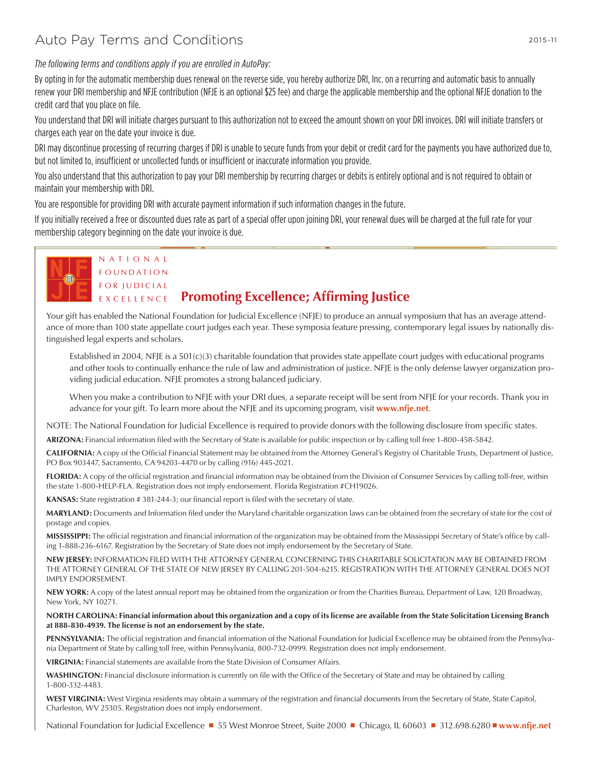## Auto Pay Terms and Conditions

N A T I O N A L

*The following terms and conditions apply if you are enrolled in AutoPay:*

By opting in for the automatic membership dues renewal on the reverse side, you hereby authorize DRI, Inc. on a recurring and automatic basis to annually renew your DRI membership and NFJE contribution (NFJE is an optional \$25 fee) and charge the applicable membership and the optional NFJE donation to the credit card that you place on file.

You understand that DRI will initiate charges pursuant to this authorization not to exceed the amount shown on your DRI invoices. DRI will initiate transfers or charges each year on the date your invoice is due.

DRI may discontinue processing of recurring charges if DRI is unable to secure funds from your debit or credit card for the payments you have authorized due to, but not limited to, insufficient or uncollected funds or insufficient or inaccurate information you provide.

You also understand that this authorization to pay your DRI membership by recurring charges or debits is entirely optional and is not required to obtain or maintain your membership with DRI.

You are responsible for providing DRI with accurate payment information if such information changes in the future.

If you initially received a free or discounted dues rate as part of a special offer upon joining DRI, your renewal dues will be charged at the full rate for your membership category beginning on the date your invoice is due.



## F O U N D A T I O N FOR JUDICIAL EXCELLENCE **Promoting Excellence; Affirming Justice**

Your gift has enabled the National Foundation for Judicial Excellence (NFJE) to produce an annual symposium that has an average attendance of more than 100 state appellate court judges each year. These symposia feature pressing, contemporary legal issues by nationally distinguished legal experts and scholars.

Established in 2004, NFJE is a 501(c)(3) charitable foundation that provides state appellate court judges with educational programs and other tools to continually enhance the rule of law and administration of justice. NFJE is the only defense lawyer organization providing judicial education. NFJE promotes a strong balanced judiciary.

When you make a contribution to NFJE with your DRI dues, a separate receipt will be sent from NFJE for your records. Thank you in advance for your gift. To learn more about the NFJE and its upcoming program, visit **[www.nfje.net](http://www.nfje.net/)**.

NOTE: The National Foundation for Judicial Excellence is required to provide donors with the following disclosure from specific states.

**ARIZONA:** Financial information filed with the Secretary of State is available for public inspection or by calling toll free 1-800-458-5842.

**CALIFORNIA:** A copy of the Official Financial Statement may be obtained from the Attorney General's Registry of Charitable Trusts, Department of Justice, PO Box 903447, Sacramento, CA 94203-4470 or by calling (916) 445-2021.

**FLORIDA:** A copy of the official registration and financial information may be obtained from the Division of Consumer Services by calling toll-free, within the state 1-800-HELP-FLA. Registration does not imply endorsement. Florida Registration #CH19026.

KANSAS: State registration # 381-244-3; our financial report is filed with the secretary of state.

**MARYLAND:** Documents and Information filed under the Maryland charitable organization laws can be obtained from the secretary of state for the cost of postage and copies.

**MISSISSIPPI:** The official registration and financial information of the organization may be obtained from the Mississippi Secretary of State's office by calling 1-888-236-6167. Registration by the Secretary of State does not imply endorsement by the Secretary of State.

**NEW JERSEY:** INFORMATION FILED WITH THE ATTORNEY GENERAL CONCERNING THIS CHARITABLE SOLICITATION MAY BE OBTAINED FROM THE ATTORNEY GENERAL OF THE STATE OF NEW JERSEY BY CALLING 201-504-6215. REGISTRATION WITH THE ATTORNEY GENERAL DOES NOT IMPLY ENDORSEMENT.

**NEW YORK:** A copy of the latest annual report may be obtained from the organization or from the Charities Bureau, Department of Law, 120 Broadway, New York, NY 10271.

**NORTH CAROLINA: Financial information about this organization and a copy of its license are available from the State Solicitation Licensing Branch at 888-830-4939. The license is not an endorsement by the state.**

PENNSYLVANIA: The official registration and financial information of the National Foundation for Judicial Excellence may be obtained from the Pennsylvania Department of State by calling toll free, within Pennsylvania, 800-732-0999. Registration does not imply endorsement.

**VIRGINIA:** Financial statements are available from the State Division of Consumer Affairs.

**WASHINGTON:** Financial disclosure information is currently on file with the Office of the Secretary of State and may be obtained by calling 1-800-332-4483.

**WEST VIRGINIA:** West Virginia residents may obtain a summary of the registration and financial documents from the Secretary of State, State Capitol, Charleston, WV 25305. Registration does not imply endorsement.

National Foundation for Judicial Excellence ■ 55 West Monroe Street, Suite 2000 ■ Chicago, IL 60603 ■ 312.698.6280 ■ **[www.nfje.net](http://www.nfje.net/)**